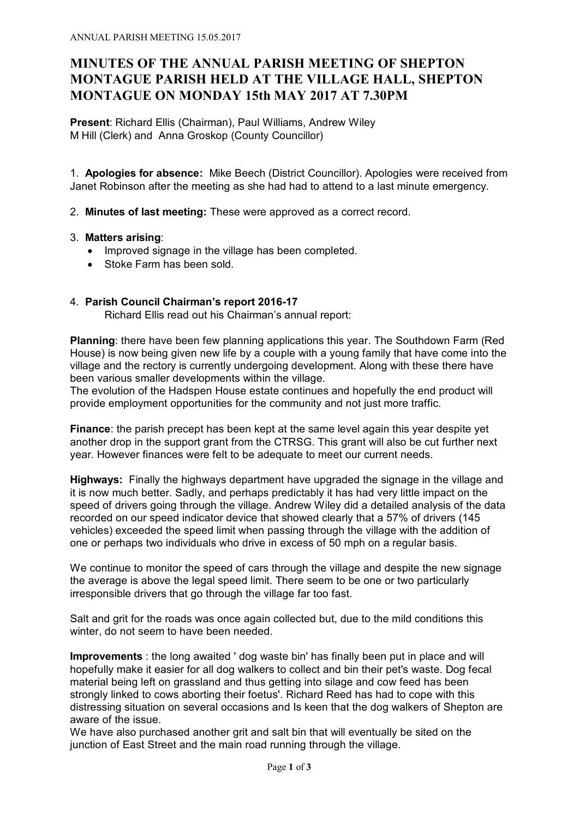# **MINUTES OF THE ANNUAL PARISH MEETING OF SHEPTON MONTAGUE PARISH HELD AT THE VILLAGE HALL, SHEPTON MONTAGUE ON MONDAY 15th MAY 2017 AT 7.30PM**

**Present**: Richard Ellis (Chairman), Paul Williams, Andrew Wiley M Hill (Clerk) and Anna Groskop (County Councillor)

1. **Apologies for absence:** Mike Beech (District Councillor). Apologies were received from Janet Robinson after the meeting as she had had to attend to a last minute emergency.

2. **Minutes of last meeting:** These were approved as a correct record.

## 3. **Matters arising**:

- · Improved signage in the village has been completed.
- · Stoke Farm has been sold.

# 4. **Parish Council Chairman's report 2016-17**

Richard Ellis read out his Chairman's annual report:

**Planning**: there have been few planning applications this year. The Southdown Farm (Red House) is now being given new life by a couple with a young family that have come into the village and the rectory is currently undergoing development. Along with these there have been various smaller developments within the village.

The evolution of the Hadspen House estate continues and hopefully the end product will provide employment opportunities for the community and not just more traffic.

**Finance**: the parish precept has been kept at the same level again this year despite yet another drop in the support grant from the CTRSG. This grant will also be cut further next year. However finances were felt to be adequate to meet our current needs.

**Highways:** Finally the highways department have upgraded the signage in the village and it is now much better. Sadly, and perhaps predictably it has had very little impact on the speed of drivers going through the village. Andrew Wiley did a detailed analysis of the data recorded on our speed indicator device that showed clearly that a 57% of drivers (145 vehicles) exceeded the speed limit when passing through the village with the addition of one or perhaps two individuals who drive in excess of 50 mph on a regular basis.

We continue to monitor the speed of cars through the village and despite the new signage the average is above the legal speed limit. There seem to be one or two particularly irresponsible drivers that go through the village far too fast.

Salt and grit for the roads was once again collected but, due to the mild conditions this winter, do not seem to have been needed.

**Improvements** : the long awaited ' dog waste bin' has finally been put in place and will hopefully make it easier for all dog walkers to collect and bin their pet's waste. Dog fecal material being left on grassland and thus getting into silage and cow feed has been strongly linked to cows aborting their foetus'. Richard Reed has had to cope with this distressing situation on several occasions and Is keen that the dog walkers of Shepton are aware of the issue.

We have also purchased another grit and salt bin that will eventually be sited on the junction of East Street and the main road running through the village.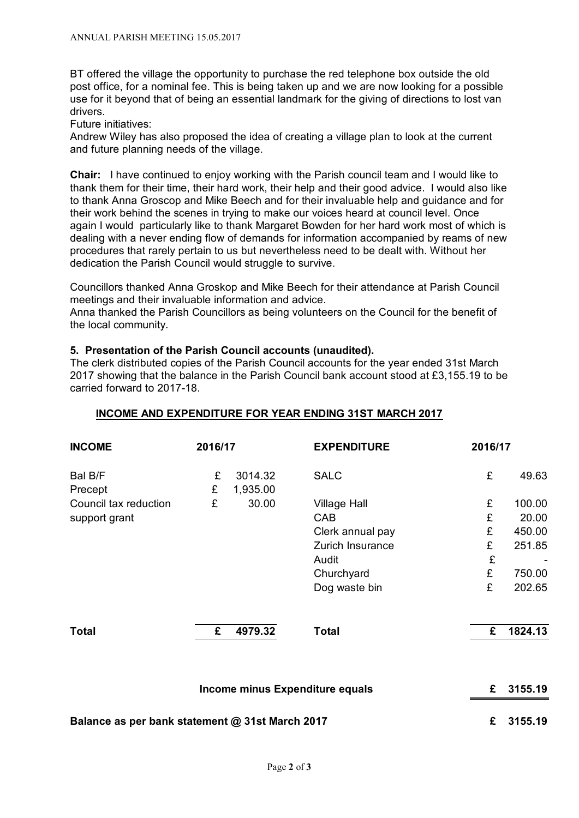BT offered the village the opportunity to purchase the red telephone box outside the old post office, for a nominal fee. This is being taken up and we are now looking for a possible use for it beyond that of being an essential landmark for the giving of directions to lost van drivers.

Future initiatives:

Andrew Wiley has also proposed the idea of creating a village plan to look at the current and future planning needs of the village.

**Chair:** I have continued to enjoy working with the Parish council team and I would like to thank them for their time, their hard work, their help and their good advice. I would also like to thank Anna Groscop and Mike Beech and for their invaluable help and guidance and for their work behind the scenes in trying to make our voices heard at council level. Once again I would particularly like to thank Margaret Bowden for her hard work most of which is dealing with a never ending flow of demands for information accompanied by reams of new procedures that rarely pertain to us but nevertheless need to be dealt with. Without her dedication the Parish Council would struggle to survive.

Councillors thanked Anna Groskop and Mike Beech for their attendance at Parish Council meetings and their invaluable information and advice.

Anna thanked the Parish Councillors as being volunteers on the Council for the benefit of the local community.

#### **5. Presentation of the Parish Council accounts (unaudited).**

The clerk distributed copies of the Parish Council accounts for the year ended 31st March 2017 showing that the balance in the Parish Council bank account stood at £3,155.19 to be carried forward to 2017-18.

#### **INCOME AND EXPENDITURE FOR YEAR ENDING 31ST MARCH 2017**

| <b>INCOME</b>                                   | 2016/17 |                                 | <b>EXPENDITURE</b>  | 2016/17 |         |
|-------------------------------------------------|---------|---------------------------------|---------------------|---------|---------|
| Bal B/F<br>Precept                              | £<br>£  | 3014.32<br>1,935.00             | <b>SALC</b>         | £       | 49.63   |
| Council tax reduction                           | £       | 30.00                           | <b>Village Hall</b> | £       | 100.00  |
| support grant                                   |         |                                 | CAB                 | £       | 20.00   |
|                                                 |         |                                 | Clerk annual pay    | £       | 450.00  |
|                                                 |         |                                 | Zurich Insurance    | £       | 251.85  |
|                                                 |         |                                 | Audit               | £       |         |
|                                                 |         |                                 | Churchyard          | £       | 750.00  |
|                                                 |         |                                 | Dog waste bin       | £       | 202.65  |
| <b>Total</b>                                    | £       | 4979.32                         | <b>Total</b>        | £       | 1824.13 |
|                                                 |         | Income minus Expenditure equals |                     | £       | 3155.19 |
| Balance as per bank statement @ 31st March 2017 |         |                                 |                     | £       | 3155.19 |